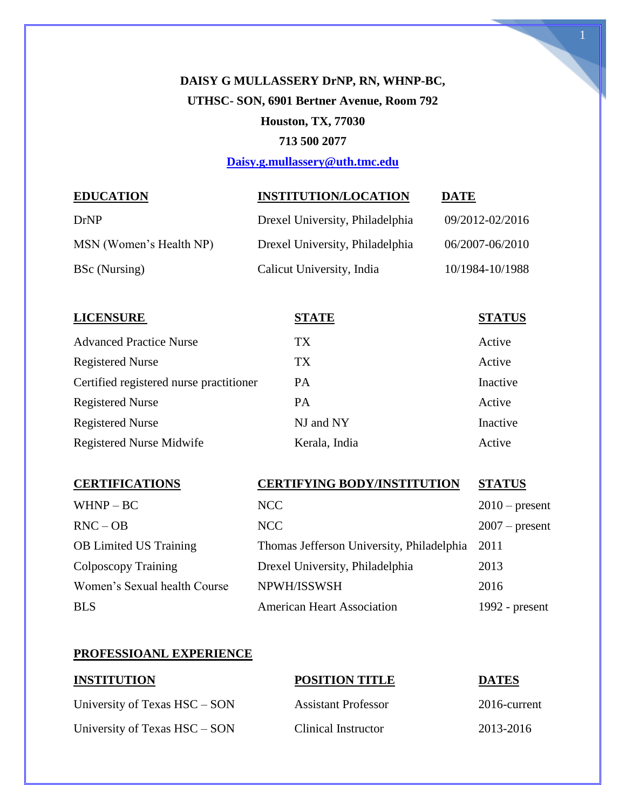# **DAISY G MULLASSERY DrNP, RN, WHNP-BC, UTHSC- SON, 6901 Bertner Avenue, Room 792 Houston, TX, 77030 713 500 2077**

**[Daisy.g.mullassery@uth.tmc.edu](mailto:Daisy.g.mullassery@uth.tmc.edu)**

# **EDUCATION INSTITUTION/LOCATION DATE**

| DrNP                    | Drexel University, Philadelphia | 09/2012-02/2016 |
|-------------------------|---------------------------------|-----------------|
| MSN (Women's Health NP) | Drexel University, Philadelphia | 06/2007-06/2010 |
| BSc (Nursing)           | Calicut University, India       | 10/1984-10/1988 |

| <b>LICENSURE</b>                        | <b>STATE</b>  | <b>STATUS</b> |
|-----------------------------------------|---------------|---------------|
| <b>Advanced Practice Nurse</b>          | TX            | Active        |
| <b>Registered Nurse</b>                 | TX.           | Active        |
| Certified registered nurse practitioner | <b>PA</b>     | Inactive      |
| <b>Registered Nurse</b>                 | <b>PA</b>     | Active        |
| <b>Registered Nurse</b>                 | NJ and NY     | Inactive      |
| Registered Nurse Midwife                | Kerala, India | Active        |

#### **CERTIFICATIONS CERTIFYING BODY/INSTITUTION STATUS**

| $WHNP - BC$                   | NCC                                       | $2010$ – present |
|-------------------------------|-------------------------------------------|------------------|
| $RNC - OB$                    | NCC                                       | $2007$ – present |
| <b>OB</b> Limited US Training | Thomas Jefferson University, Philadelphia | 2011             |
| Colposcopy Training           | Drexel University, Philadelphia           | 2013             |
| Women's Sexual health Course  | NPWH/ISSWSH                               | 2016             |
| <b>BLS</b>                    | <b>American Heart Association</b>         | 1992 - $present$ |

#### **PROFESSIOANL EXPERIENCE**

| <b>INSTITUTION</b>            | <b>POSITION TITLE</b>      | <b>DATES</b> |  |
|-------------------------------|----------------------------|--------------|--|
| University of Texas HSC – SON | <b>Assistant Professor</b> | 2016-current |  |
| University of Texas HSC – SON | Clinical Instructor        | 2013-2016    |  |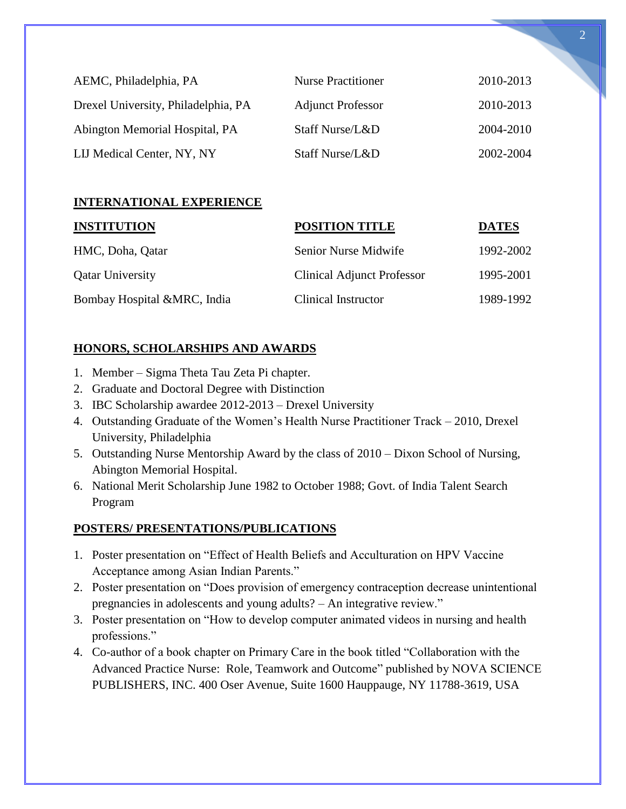| AEMC, Philadelphia, PA              | <b>Nurse Practitioner</b> | 2010-2013 |
|-------------------------------------|---------------------------|-----------|
| Drexel University, Philadelphia, PA | <b>Adjunct Professor</b>  | 2010-2013 |
| Abington Memorial Hospital, PA      | Staff Nurse/L&D           | 2004-2010 |
| LIJ Medical Center, NY, NY          | Staff Nurse/L&D           | 2002-2004 |

# **INTERNATIONAL EXPERIENCE**

| <b>INSTITUTION</b>          | <b>POSITION TITLE</b>             | <b>DATES</b> |
|-----------------------------|-----------------------------------|--------------|
| HMC, Doha, Qatar            | <b>Senior Nurse Midwife</b>       | 1992-2002    |
| <b>Qatar University</b>     | <b>Clinical Adjunct Professor</b> | 1995-2001    |
| Bombay Hospital &MRC, India | Clinical Instructor               | 1989-1992    |

# **HONORS, SCHOLARSHIPS AND AWARDS**

- 1. Member Sigma Theta Tau Zeta Pi chapter.
- 2. Graduate and Doctoral Degree with Distinction
- 3. IBC Scholarship awardee 2012-2013 Drexel University
- 4. Outstanding Graduate of the Women's Health Nurse Practitioner Track 2010, Drexel University, Philadelphia
- 5. Outstanding Nurse Mentorship Award by the class of 2010 Dixon School of Nursing, Abington Memorial Hospital.
- 6. National Merit Scholarship June 1982 to October 1988; Govt. of India Talent Search Program

# **POSTERS/ PRESENTATIONS/PUBLICATIONS**

- 1. Poster presentation on "Effect of Health Beliefs and Acculturation on HPV Vaccine Acceptance among Asian Indian Parents."
- 2. Poster presentation on "Does provision of emergency contraception decrease unintentional pregnancies in adolescents and young adults? – An integrative review."
- 3. Poster presentation on "How to develop computer animated videos in nursing and health professions."
- 4. Co-author of a book chapter on Primary Care in the book titled "Collaboration with the Advanced Practice Nurse: Role, Teamwork and Outcome" published by NOVA SCIENCE PUBLISHERS, INC. 400 Oser Avenue, Suite 1600 Hauppauge, NY 11788-3619, USA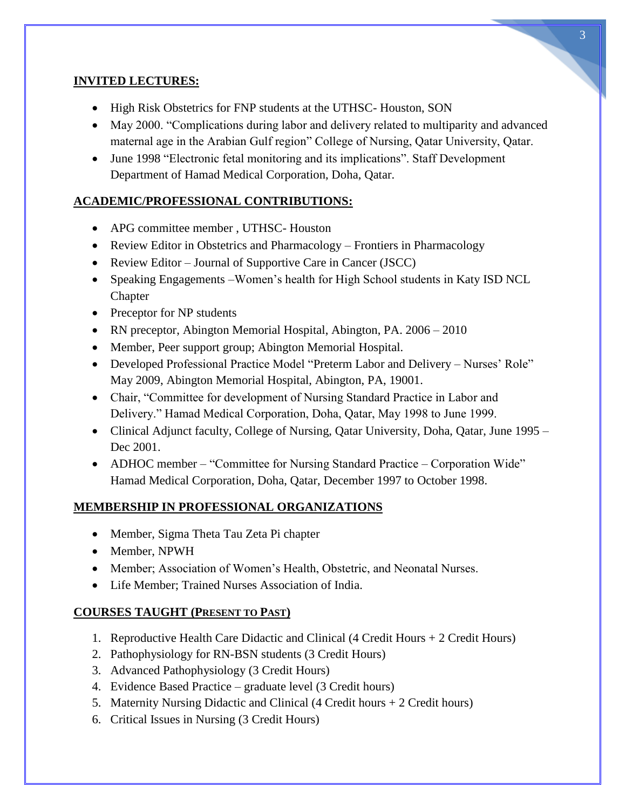# **INVITED LECTURES:**

- High Risk Obstetrics for FNP students at the UTHSC- Houston, SON
- May 2000. "Complications during labor and delivery related to multiparity and advanced maternal age in the Arabian Gulf region" College of Nursing, Qatar University, Qatar.
- June 1998 "Electronic fetal monitoring and its implications". Staff Development Department of Hamad Medical Corporation, Doha, Qatar.

# **ACADEMIC/PROFESSIONAL CONTRIBUTIONS:**

- APG committee member , UTHSC- Houston
- Review Editor in Obstetrics and Pharmacology Frontiers in Pharmacology
- Review Editor Journal of Supportive Care in Cancer (JSCC)
- Speaking Engagements Women's health for High School students in Katy ISD NCL Chapter
- Preceptor for NP students
- RN preceptor, Abington Memorial Hospital, Abington, PA. 2006 2010
- Member, Peer support group; Abington Memorial Hospital.
- Developed Professional Practice Model "Preterm Labor and Delivery Nurses' Role" May 2009, Abington Memorial Hospital, Abington, PA, 19001.
- Chair, "Committee for development of Nursing Standard Practice in Labor and Delivery." Hamad Medical Corporation, Doha, Qatar, May 1998 to June 1999.
- Clinical Adjunct faculty, College of Nursing, Qatar University, Doha, Qatar, June 1995 Dec 2001.
- ADHOC member "Committee for Nursing Standard Practice Corporation Wide" Hamad Medical Corporation, Doha, Qatar, December 1997 to October 1998.

# **MEMBERSHIP IN PROFESSIONAL ORGANIZATIONS**

- Member, Sigma Theta Tau Zeta Pi chapter
- Member, NPWH
- Member; Association of Women's Health, Obstetric, and Neonatal Nurses.
- Life Member; Trained Nurses Association of India.

# **COURSES TAUGHT (PRESENT TO PAST)**

- 1. Reproductive Health Care Didactic and Clinical (4 Credit Hours + 2 Credit Hours)
- 2. Pathophysiology for RN-BSN students (3 Credit Hours)
- 3. Advanced Pathophysiology (3 Credit Hours)
- 4. Evidence Based Practice graduate level (3 Credit hours)
- 5. Maternity Nursing Didactic and Clinical (4 Credit hours + 2 Credit hours)
- 6. Critical Issues in Nursing (3 Credit Hours)